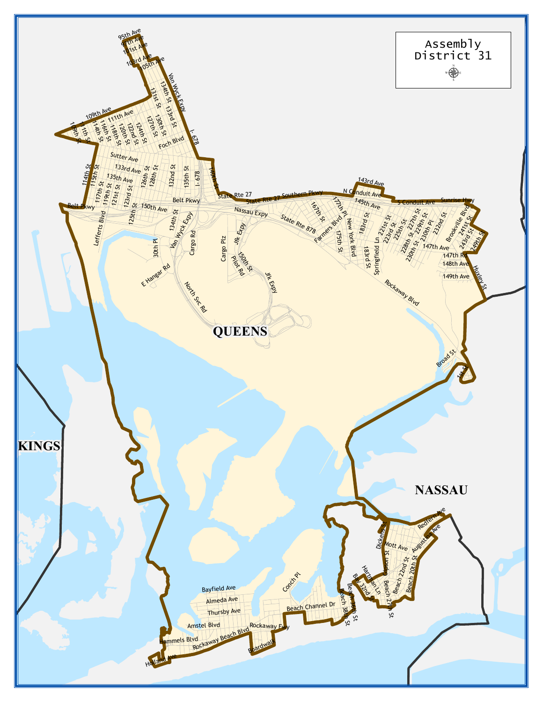